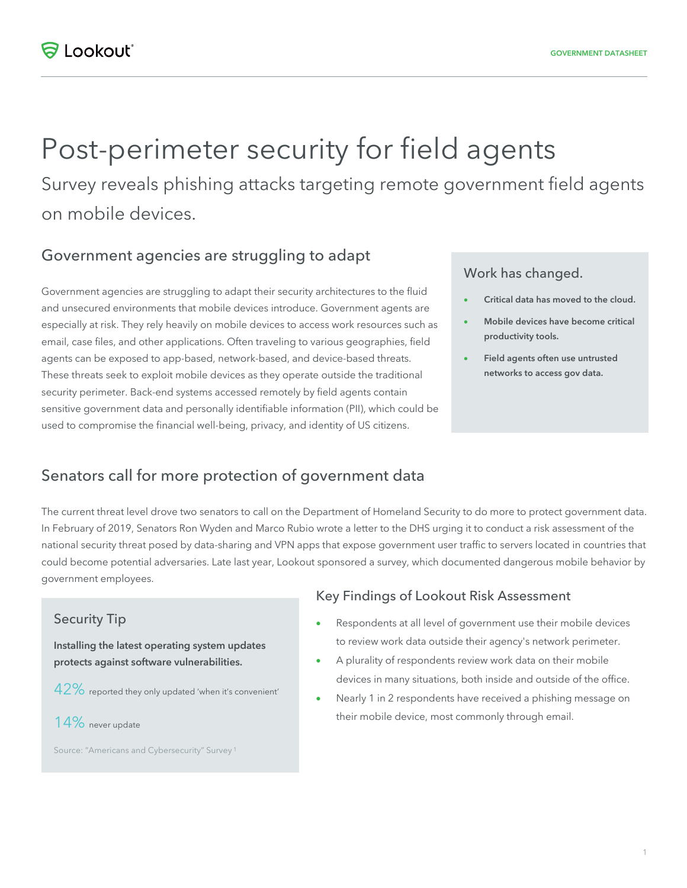# Post-perimeter security for field agents

Survey reveals phishing attacks targeting remote government field agents on mobile devices.

## Government agencies are struggling to adapt

Government agencies are struggling to adapt their security architectures to the fluid and unsecured environments that mobile devices introduce. Government agents are especially at risk. They rely heavily on mobile devices to access work resources such as email, case files, and other applications. Often traveling to various geographies, field agents can be exposed to app-based, network-based, and device-based threats. These threats seek to exploit mobile devices as they operate outside the traditional security perimeter. Back-end systems accessed remotely by field agents contain sensitive government data and personally identifiable information (PII), which could be used to compromise the financial well-being, privacy, and identity of US citizens.

#### Work has changed.

- Critical data has moved to the cloud.
- Mobile devices have become critical productivity tools.
- Field agents often use untrusted networks to access gov data.

## Senators call for more protection of government data

The current threat level drove two senators to call on the Department of Homeland Security to do more to protect government data. In February of 2019, Senators Ron Wyden and Marco Rubio wrote a letter to the DHS urging it to conduct a risk assessment of the national security threat posed by data-sharing and VPN apps that expose government user traffic to servers located in countries that could become potential adversaries. Late last year, Lookout sponsored a survey, which documented dangerous mobile behavior by government employees.

#### Security Tip

Installing the latest operating system updates protects against software vulnerabilities.

- 42% reported they only updated 'when it's convenient'
- 14% never update

Source: "Americans and Cybersecurity" Survey <sup>1</sup>

#### Key Findings of Lookout Risk Assessment

- Respondents at all level of government use their mobile devices to review work data outside their agency's network perimeter.
- A plurality of respondents review work data on their mobile devices in many situations, both inside and outside of the office.
- Nearly 1 in 2 respondents have received a phishing message on their mobile device, most commonly through email.